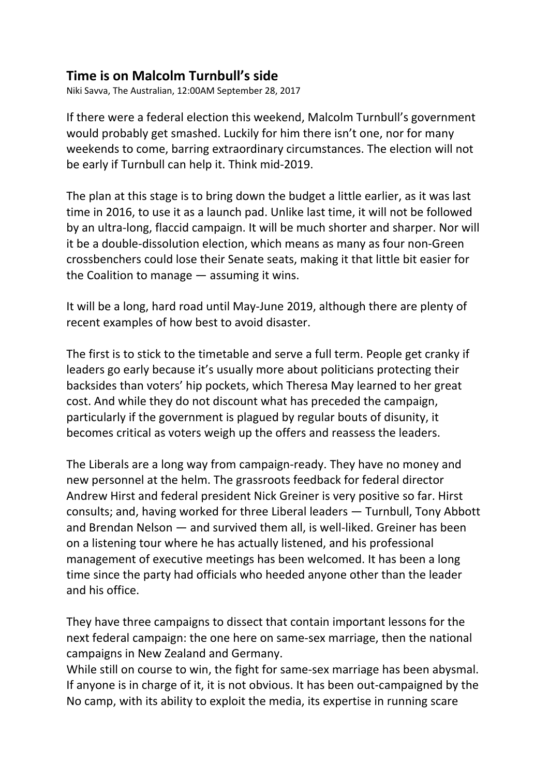## **Time is on Malcolm Turnbull's side**

Niki Savva, The Australian, 12:00AM September 28, 2017

If there were a federal election this weekend, Malcolm Turnbull's government would probably get smashed. Luckily for him there isn't one, nor for many weekends to come, barring extraordinary circumstances. The election will not be early if Turnbull can help it. Think mid-2019.

The plan at this stage is to bring down the budget a little earlier, as it was last time in 2016, to use it as a launch pad. Unlike last time, it will not be followed by an ultra-long, flaccid campaign. It will be much shorter and sharper. Nor will it be a double-dissolution election, which means as many as four non-Green crossbenchers could lose their Senate seats, making it that little bit easier for the Coalition to manage — assuming it wins.

It will be a long, hard road until May-June 2019, although there are plenty of recent examples of how best to avoid disaster.

The first is to stick to the timetable and serve a full term. People get cranky if leaders go early because it's usually more about politicians protecting their backsides than voters' hip pockets, which Theresa May learned to her great cost. And while they do not discount what has preceded the campaign, particularly if the government is plagued by regular bouts of disunity, it becomes critical as voters weigh up the offers and reassess the leaders.

The Liberals are a long way from campaign-ready. They have no money and new personnel at the helm. The grassroots feedback for federal director Andrew Hirst and federal president Nick Greiner is very positive so far. Hirst consults; and, having worked for three Liberal leaders — Turnbull, Tony Abbott and Brendan Nelson — and survived them all, is well-liked. Greiner has been on a listening tour where he has actually listened, and his professional management of executive meetings has been welcomed. It has been a long time since the party had officials who heeded anyone other than the leader and his office.

They have three campaigns to dissect that contain important lessons for the next federal campaign: the one here on same-sex marriage, then the national campaigns in New Zealand and Germany.

While still on course to win, the fight for same-sex marriage has been abysmal. If anyone is in charge of it, it is not obvious. It has been out-campaigned by the No camp, with its ability to exploit the media, its expertise in running scare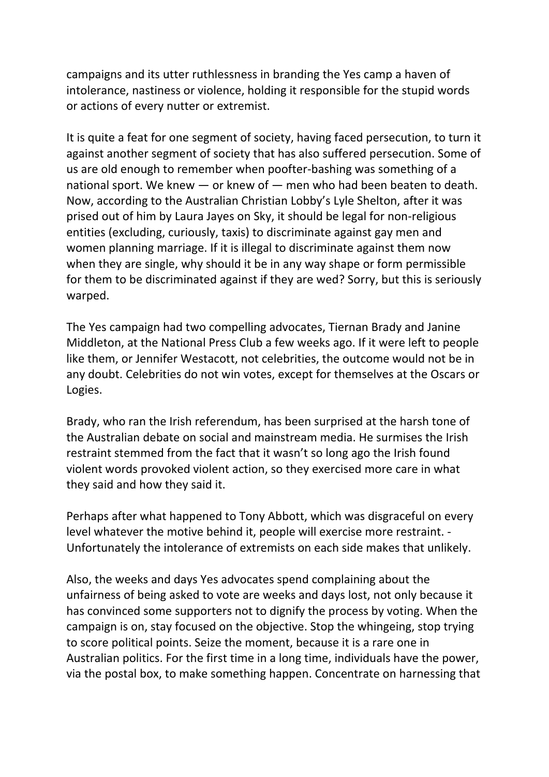campaigns and its utter ruthlessness in branding the Yes camp a haven of intolerance, nastiness or violence, holding it responsible for the stupid words or actions of every nutter or extremist.

It is quite a feat for one segment of society, having faced persecution, to turn it against another segment of society that has also suffered persecution. Some of us are old enough to remember when poofter-bashing was something of a national sport. We knew — or knew of — men who had been beaten to death. Now, according to the Australian Christian Lobby's Lyle Shelton, after it was prised out of him by Laura Jayes on Sky, it should be legal for non-religious entities (excluding, curiously, taxis) to discriminate against gay men and women planning marriage. If it is illegal to discriminate against them now when they are single, why should it be in any way shape or form permissible for them to be discriminated against if they are wed? Sorry, but this is seriously warped.

The Yes campaign had two compelling advocates, Tiernan Brady and Janine Middleton, at the National Press Club a few weeks ago. If it were left to people like them, or Jennifer Westacott, not celebrities, the outcome would not be in any doubt. Celebrities do not win votes, except for themselves at the Oscars or Logies.

Brady, who ran the Irish referendum, has been surprised at the harsh tone of the Australian debate on social and mainstream media. He surmises the Irish restraint stemmed from the fact that it wasn't so long ago the Irish found violent words provoked violent action, so they exercised more care in what they said and how they said it.

Perhaps after what happened to Tony Abbott, which was disgraceful on every level whatever the motive behind it, people will exercise more restraint. - Unfortunately the intolerance of extremists on each side makes that unlikely.

Also, the weeks and days Yes advocates spend complaining about the unfairness of being asked to vote are weeks and days lost, not only because it has convinced some supporters not to dignify the process by voting. When the campaign is on, stay focused on the objective. Stop the whingeing, stop trying to score political points. Seize the moment, because it is a rare one in Australian politics. For the first time in a long time, individuals have the power, via the postal box, to make something happen. Concentrate on harnessing that